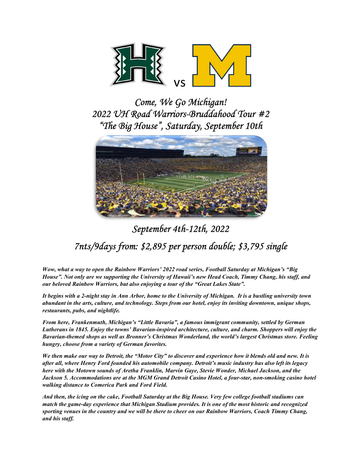

Come, We Go Michigan! 2022 UH Road Warriors-Bruddahood Tour #2 "The Big House", Saturday, September 10th



## September 4th-12th, 2022 7nts/9days from: \$2,895 per person double; \$3,795 single

Wow, what a way to open the Rainbow Warriors' 2022 road series, Football Saturday at Michigan's "Big House". Not only are we supporting the University of Hawaii's new Head Coach, Timmy Chang, his staff, and our beloved Rainbow Warriors, but also enjoying a tour of the "Great Lakes State".

It begins with a 2-night stay in Ann Arbor, home to the University of Michigan. It is a bustling university town abundant in the arts, culture, and technology. Steps from our hotel, enjoy its inviting downtown, unique shops, restaurants, pubs, and nightlife.

From here, Frankenmuth, Michigan's "Little Bavaria", a famous immigrant community, settled by German Lutherans in 1845. Enjoy the towns' Bavarian-inspired architecture, culture, and charm. Shoppers will enjoy the Bavarian-themed shops as well as Bronner's Christmas Wonderland, the world's largest Christmas store. Feeling hungry, choose from a variety of German favorites.

We then make our way to Detroit, the "Motor City" to discover and experience how it blends old and new. It is after all, where Henry Ford founded his automobile company. Detroit's music industry has also left its legacy here with the Motown sounds of Aretha Franklin, Marvin Gaye, Stevie Wonder, Michael Jackson, and the Jackson 5. Accommodations are at the MGM Grand Detroit Casino Hotel, a four-star, non-smoking casino hotel walking distance to Comerica Park and Ford Field.

And then, the icing on the cake, Football Saturday at the Big House. Very few college football stadiums can match the game-day experience that Michigan Stadium provides. It is one of the most historic and recognized sporting venues in the country and we will be there to cheer on our Rainbow Warriors, Coach Timmy Chang, and his staff.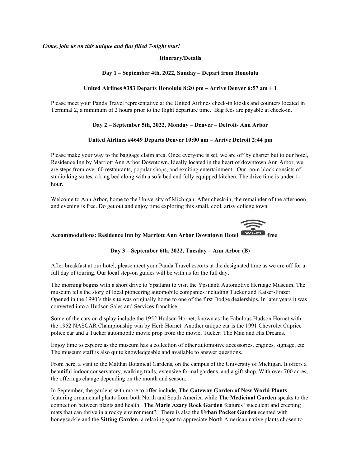Come, join us on this unique and fun filled 7-night tour!

#### Itinerary/Details

#### Day 1 – September 4th, 2022, Sunday – Depart from Honolulu

#### United Airlines #383 Departs Honolulu 8:20 pm – Arrive Denver 6:57 am + 1

Please meet your Panda Travel representative at the United Airlines check-in kiosks and counters located in Terminal 2, a minimum of 2 hours prior to the flight departure time. Bag fees are payable at check-in.

#### Day 2 – September 5th, 2022, Monday – Denver – Detroit- Ann Arbor

#### United Airlines #4649 Departs Denver 10:00 am – Arrive Detroit 2:44 pm

Please make your way to the baggage claim area. Once everyone is set, we are off by charter but to our hotel, Residence Inn by Marriott Ann Arbor Downtown. Ideally located in the heart of downtown Ann Arbor, we are steps from over 60 restaurants, popular shops, and exciting entertainment. Our room block consists of studio king suites, a king bed along with a sofa bed and fully equipped kitchen. The drive time is under 1 hour.

Welcome to Ann Arbor, home to the University of Michigan. After check-in, the remainder of the afternoon and evening is free. Do get out and enjoy time exploring this small, cool, artsy college town.



# Accommodations: Residence Inn by Marriott Ann Arbor Downtown Hotel **Example 19 Section** free

#### Day 3 – September 6th, 2022, Tuesday – Ann Arbor (B)

After breakfast at our hotel, please meet your Panda Travel escorts at the designated time as we are off for a full day of touring. Our local step-on guides will be with us for the full day.

The morning begins with a short drive to Ypsilanti to visit the Ypsilanti Automotive Heritage Museum. The museum tells the story of local pioneering automobile companies including Tucker and Kaiser-Frazer. Opened in the 1990's this site was originally home to one of the first Dodge dealerships. In later years it was converted into a Hudson Sales and Services franchise.

Some of the cars on display include the 1952 Hudson Hornet, known as the Fabulous Hudson Hornet with the 1952 NASCAR Championship win by Herb Hornet. Another unique car is the 1991 Chevrolet Caprice police car and a Tucker automobile movie prop from the movie, Tucker: The Man and His Dreams.

Enjoy time to explore as the museum has a collection of other automotive accessories, engines, signage, etc. The museum staff is also quite knowledgeable and available to answer questions.

From here, a visit to the Matthai Botanical Gardens, on the campus of the University of Michigan. It offers a beautiful indoor conservatory, walking trails, extensive formal gardens, and a gift shop. With over 700 acres, the offerings change depending on the month and season.

In September, the gardens with more to offer include, The Gateway Garden of New World Plants, featuring ornamental plants from both North and South America while The Medicinal Garden speaks to the connection between plants and health. The Marie Azary Rock Garden features "succulent and creeping mats that can thrive in a rocky environment". There is also the Urban Pocket Garden scented with honeysuckle and the Sitting Garden, a relaxing spot to appreciate North American native plants chosen to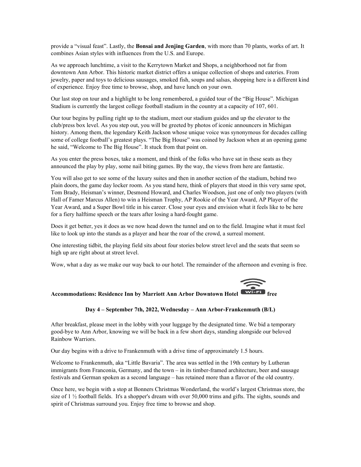provide a "visual feast". Lastly, the Bonsai and Jenjing Garden, with more than 70 plants, works of art. It combines Asian styles with influences from the U.S. and Europe.

As we approach lunchtime, a visit to the Kerrytown Market and Shops, a neighborhood not far from downtown Ann Arbor. This historic market district offers a unique collection of shops and eateries. From jewelry, paper and toys to delicious sausages, smoked fish, soups and salsas, shopping here is a different kind of experience. Enjoy free time to browse, shop, and have lunch on your own.

Our last stop on tour and a highlight to be long remembered, a guided tour of the "Big House". Michigan Stadium is currently the largest college football stadium in the country at a capacity of 107, 601.

Our tour begins by pulling right up to the stadium, meet our stadium guides and up the elevator to the club/press box level. As you step out, you will be greeted by photos of iconic announcers in Michigan history. Among them, the legendary Keith Jackson whose unique voice was synonymous for decades calling some of college football's greatest plays. "The Big House" was coined by Jackson when at an opening game he said, "Welcome to The Big House". It stuck from that point on.

As you enter the press boxes, take a moment, and think of the folks who have sat in these seats as they announced the play by play, some nail biting games. By the way, the views from here are fantastic.

You will also get to see some of the luxury suites and then in another section of the stadium, behind two plain doors, the game day locker room. As you stand here, think of players that stood in this very same spot, Tom Brady, Heisman's winner, Desmond Howard, and Charles Woodson, just one of only two players (with Hall of Famer Marcus Allen) to win a Heisman Trophy, AP Rookie of the Year Award, AP Player of the Year Award, and a Super Bowl title in his career. Close your eyes and envision what it feels like to be here for a fiery halftime speech or the tears after losing a hard-fought game.

Does it get better, yes it does as we now head down the tunnel and on to the field. Imagine what it must feel like to look up into the stands as a player and hear the roar of the crowd, a surreal moment.

One interesting tidbit, the playing field sits about four stories below street level and the seats that seem so high up are right about at street level.

Wow, what a day as we make our way back to our hotel. The remainder of the afternoon and evening is free.



## Accommodations: Residence Inn by Marriott Ann Arbor Downtown Hotel Wi-Fi free

#### Day 4 – September 7th, 2022, Wednesday – Ann Arbor-Frankenmuth (B/L)

After breakfast, please meet in the lobby with your luggage by the designated time. We bid a temporary good-bye to Ann Arbor, knowing we will be back in a few short days, standing alongside our beloved Rainbow Warriors.

Our day begins with a drive to Frankenmuth with a drive time of approximately 1.5 hours.

Welcome to Frankenmuth, aka "Little Bavaria". The area was settled in the 19th century by Lutheran immigrants from Franconia, Germany, and the town – in its timber-framed architecture, beer and sausage festivals and German spoken as a second language – has retained more than a flavor of the old country.

Once here, we begin with a stop at Bonners Christmas Wonderland, the world's largest Christmas store, the size of 1 ½ football fields. It's a shopper's dream with over 50,000 trims and gifts. The sights, sounds and spirit of Christmas surround you. Enjoy free time to browse and shop.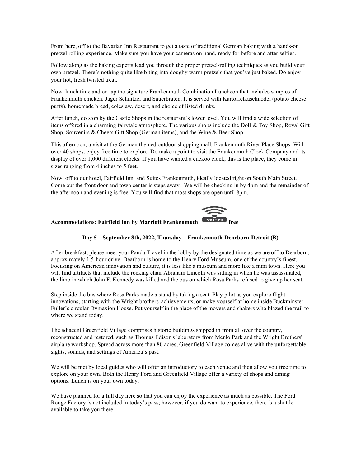From here, off to the Bavarian Inn Restaurant to get a taste of traditional German baking with a hands-on pretzel rolling experience. Make sure you have your cameras on hand, ready for before and after selfies.

Follow along as the baking experts lead you through the proper pretzel-rolling techniques as you build your own pretzel. There's nothing quite like biting into doughy warm pretzels that you've just baked. Do enjoy your hot, fresh twisted treat.

Now, lunch time and on tap the signature Frankenmuth Combination Luncheon that includes samples of Frankenmuth chicken, Jäger Schnitzel and Sauerbraten. It is served with Kartoffelkäseknödel (potato cheese puffs), homemade bread, coleslaw, desert, and choice of listed drinks.

After lunch, do stop by the Castle Shops in the restaurant's lower level. You will find a wide selection of items offered in a charming fairytale atmosphere. The various shops include the Doll & Toy Shop, Royal Gift Shop, Souvenirs & Cheers Gift Shop (German items), and the Wine & Beer Shop.

This afternoon, a visit at the German themed outdoor shopping mall, Frankenmuth River Place Shops. With over 40 shops, enjoy free time to explore. Do make a point to visit the Frankenmuth Clock Company and its display of over 1,000 different clocks. If you have wanted a cuckoo clock, this is the place, they come in sizes ranging from 4 inches to 5 feet.

Now, off to our hotel, Fairfield Inn, and Suites Frankenmuth, ideally located right on South Main Street. Come out the front door and town center is steps away. We will be checking in by 4pm and the remainder of the afternoon and evening is free. You will find that most shops are open until 8pm.



## Accommodations: Fairfield Inn by Marriott Frankenmuth

#### Day 5 – September 8th, 2022, Thursday – Frankenmuth-Dearborn-Detroit (B)

After breakfast, please meet your Panda Travel in the lobby by the designated time as we are off to Dearborn, approximately 1.5-hour drive. Dearborn is home to the Henry Ford Museum, one of the country's finest. Focusing on American innovation and culture, it is less like a museum and more like a mini town. Here you will find artifacts that include the rocking chair Abraham Lincoln was sitting in when he was assassinated, the limo in which John F. Kennedy was killed and the bus on which Rosa Parks refused to give up her seat.

Step inside the bus where Rosa Parks made a stand by taking a seat. Play pilot as you explore flight innovations, starting with the Wright brothers' achievements, or make yourself at home inside Buckminster Fuller's circular Dymaxion House. Put yourself in the place of the movers and shakers who blazed the trail to where we stand today.

The adjacent Greenfield Village comprises historic buildings shipped in from all over the country, reconstructed and restored, such as Thomas Edison's laboratory from Menlo Park and the Wright Brothers' airplane workshop. Spread across more than 80 acres, Greenfield Village comes alive with the unforgettable sights, sounds, and settings of America's past.

We will be met by local guides who will offer an introductory to each venue and then allow you free time to explore on your own. Both the Henry Ford and Greenfield Village offer a variety of shops and dining options. Lunch is on your own today.

We have planned for a full day here so that you can enjoy the experience as much as possible. The Ford Rouge Factory is not included in today's pass; however, if you do want to experience, there is a shuttle available to take you there.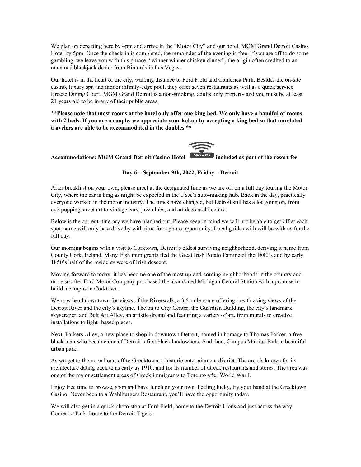We plan on departing here by 4pm and arrive in the "Motor City" and our hotel, MGM Grand Detroit Casino Hotel by 5pm. Once the check-in is completed, the remainder of the evening is free. If you are off to do some gambling, we leave you with this phrase, "winner winner chicken dinner", the origin often credited to an unnamed blackjack dealer from Binion's in Las Vegas.

Our hotel is in the heart of the city, walking distance to Ford Field and Comerica Park. Besides the on-site casino, luxury spa and indoor infinity-edge pool, they offer seven restaurants as well as a quick service Breeze Dining Court. MGM Grand Detroit is a non-smoking, adults only property and you must be at least 21 years old to be in any of their public areas.

\*\*Please note that most rooms at the hotel only offer one king bed. We only have a handful of rooms with 2 beds. If you are a couple, we appreciate your kokua by accepting a king bed so that unrelated travelers are able to be accommodated in the doubles.\*\*



Accommodations: MGM Grand Detroit Casino Hotel **WIFFI** included as part of the resort fee.

#### Day 6 – September 9th, 2022, Friday – Detroit

After breakfast on your own, please meet at the designated time as we are off on a full day touring the Motor City, where the car is king as might be expected in the USA's auto-making hub. Back in the day, practically everyone worked in the motor industry. The times have changed, but Detroit still has a lot going on, from eye-popping street art to vintage cars, jazz clubs, and art deco architecture.

Below is the current itinerary we have planned out. Please keep in mind we will not be able to get off at each spot, some will only be a drive by with time for a photo opportunity. Local guides with will be with us for the full day.

Our morning begins with a visit to Corktown, Detroit's oldest surviving neighborhood, deriving it name from County Cork, Ireland. Many Irish immigrants fled the Great Irish Potato Famine of the 1840's and by early 1850's half of the residents were of Irish descent.

Moving forward to today, it has become one of the most up-and-coming neighborhoods in the country and more so after Ford Motor Company purchased the abandoned Michigan Central Station with a promise to build a campus in Corktown.

We now head downtown for views of the Riverwalk, a 3.5-mile route offering breathtaking views of the Detroit River and the city's skyline. The on to City Center, the Guardian Building, the city's landmark skyscraper, and Belt Art Alley, an artistic dreamland featuring a variety of art, from murals to creative installations to light -based pieces.

Next, Parkers Alley, a new place to shop in downtown Detroit, named in homage to Thomas Parker, a free black man who became one of Detroit's first black landowners. And then, Campus Martius Park, a beautiful urban park.

As we get to the noon hour, off to Greektown, a historic entertainment district. The area is known for its architecture dating back to as early as 1910, and for its number of Greek restaurants and stores. The area was one of the major settlement areas of Greek immigrants to Toronto after World War I.

Enjoy free time to browse, shop and have lunch on your own. Feeling lucky, try your hand at the Greektown Casino. Never been to a Wahlburgers Restaurant, you'll have the opportunity today.

We will also get in a quick photo stop at Ford Field, home to the Detroit Lions and just across the way, Comerica Park, home to the Detroit Tigers.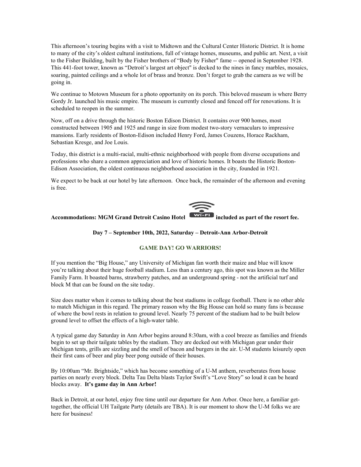This afternoon's touring begins with a visit to Midtown and the Cultural Center Historic District. It is home to many of the city's oldest cultural institutions, full of vintage homes, museums, and public art. Next, a visit to the Fisher Building, built by the Fisher brothers of "Body by Fisher" fame -- opened in September 1928. This 441-foot tower, known as "Detroit's largest art object" is decked to the nines in fancy marbles, mosaics, soaring, painted ceilings and a whole lot of brass and bronze. Don't forget to grab the camera as we will be going in.

We continue to Motown Museum for a photo opportunity on its porch. This beloved museum is where Berry Gordy Jr. launched his music empire. The museum is currently closed and fenced off for renovations. It is scheduled to reopen in the summer.

Now, off on a drive through the historic Boston Edison District. It contains over 900 homes, most constructed between 1905 and 1925 and range in size from modest two-story vernaculars to impressive mansions. Early residents of Boston-Edison included Henry Ford, James Couzens, Horace Rackham, Sebastian Kresge, and Joe Louis.

Today, this district is a multi-racial, multi-ethnic neighborhood with people from diverse occupations and professions who share a common appreciation and love of historic homes. It boasts the Historic Boston-Edison Association, the oldest continuous neighborhood association in the city, founded in 1921.

We expect to be back at our hotel by late afternoon. Once back, the remainder of the afternoon and evening is free.



#### Accommodations: MGM Grand Detroit Casino Hotel **WIFEL included as part of the resort fee.**

#### Day 7 – September 10th, 2022, Saturday – Detroit-Ann Arbor-Detroit

#### GAME DAY! GO WARRIORS!

If you mention the "Big House," any University of Michigan fan worth their maize and blue will know you're talking about their huge football stadium. Less than a century ago, this spot was known as the Miller Family Farm. It boasted barns, strawberry patches, and an underground spring - not the artificial turf and block M that can be found on the site today.

Size does matter when it comes to talking about the best stadiums in college football. There is no other able to match Michigan in this regard. The primary reason why the Big House can hold so many fans is because of where the bowl rests in relation to ground level. Nearly 75 percent of the stadium had to be built below ground level to offset the effects of a high-water table.

A typical game day Saturday in Ann Arbor begins around 8:30am, with a cool breeze as families and friends begin to set up their tailgate tables by the stadium. They are decked out with Michigan gear under their Michigan tents, grills are sizzling and the smell of bacon and burgers in the air. U-M students leisurely open their first cans of beer and play beer pong outside of their houses.

By 10:00am "Mr. Brightside," which has become something of a U-M anthem, reverberates from house parties on nearly every block. Delta Tau Delta blasts Taylor Swift's "Love Story" so loud it can be heard blocks away. It's game day in Ann Arbor!

Back in Detroit, at our hotel, enjoy free time until our departure for Ann Arbor. Once here, a familiar gettogether, the official UH Tailgate Party (details are TBA). It is our moment to show the U-M folks we are here for business!